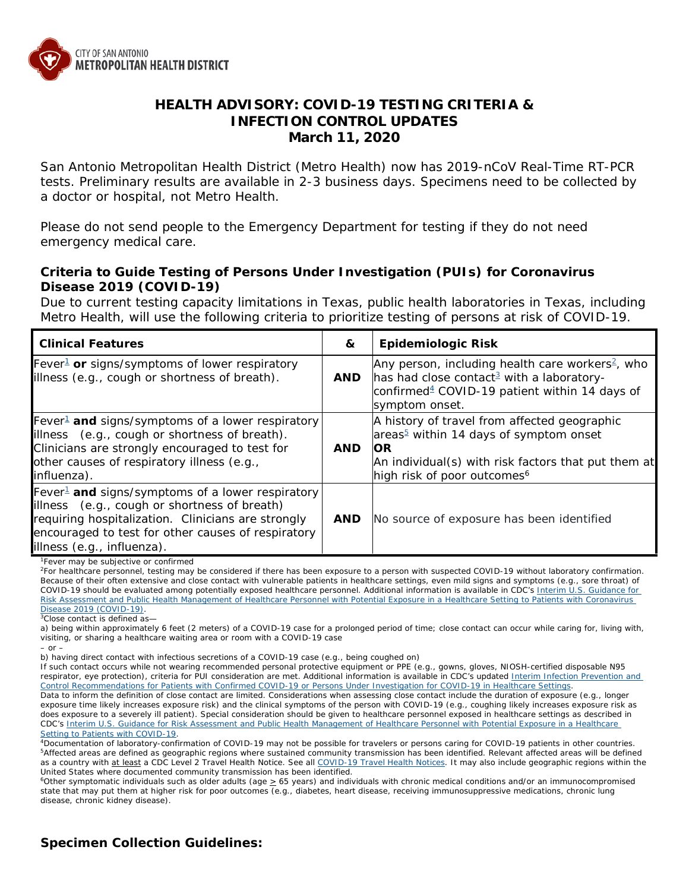

## **HEALTH ADVISORY: COVID-19 TESTING CRITERIA & INFECTION CONTROL UPDATES March 11, 2020**

San Antonio Metropolitan Health District (Metro Health) now has 2019-nCoV Real-Time RT-PCR tests. Preliminary results are available in 2-3 business days. Specimens need to be collected by a doctor or hospital, not Metro Health.

Please do not send people to the Emergency Department for testing if they do not need emergency medical care.

### **Criteria to Guide Testing of Persons Under Investigation (PUIs) for Coronavirus Disease 2019 (COVID-19)**

Due to current testing capacity limitations in Texas, public health laboratories in Texas, including Metro Health, will use the following criteria to prioritize testing of persons at risk of COVID-19.

| <b>Clinical Features</b>                                                                                                                                                                                                                               | &          | <b>Epidemiologic Risk</b>                                                                                                                                                                                         |
|--------------------------------------------------------------------------------------------------------------------------------------------------------------------------------------------------------------------------------------------------------|------------|-------------------------------------------------------------------------------------------------------------------------------------------------------------------------------------------------------------------|
| Fever <sup>1</sup> or signs/symptoms of lower respiratory<br>illness (e.g., cough or shortness of breath).                                                                                                                                             | <b>AND</b> | Any person, including health care workers <sup>2</sup> , who<br>has had close contact <sup>3</sup> with a laboratory-<br>confirmed $4$ COVID-19 patient within 14 days of<br>symptom onset.                       |
| Fever <sup>1</sup> and signs/symptoms of a lower respiratory<br>illness (e.g., cough or shortness of breath).<br>Clinicians are strongly encouraged to test for<br>other causes of respiratory illness (e.g.,<br>influenza).                           | AND.       | A history of travel from affected geographic<br>areas <sup>5</sup> within 14 days of symptom onset<br><b>OR</b><br>An individual(s) with risk factors that put them at<br>high risk of poor outcomes <sup>6</sup> |
| Fever <sup>1</sup> and signs/symptoms of a lower respiratory<br>illness (e.g., cough or shortness of breath)<br>requiring hospitalization. Clinicians are strongly<br>encouraged to test for other causes of respiratory<br>illness (e.g., influenza). | <b>AND</b> | No source of exposure has been identified                                                                                                                                                                         |

<sup>1</sup>Fever may be subjective or confirmed

2For healthcare personnel, testing may be considered if there has been exposure to a person with suspected COVID-19 without laboratory confirmation. Because of their often extensive and close contact with vulnerable patients in healthcare settings, even mild signs and symptoms (e.g., sore throat) of COVID-19 should be evaluated among potentially exposed healthcare personnel. Additional information is available in CDC's Interim U.S. Guidance for [Risk Assessment and Public Health Management of Healthcare Personnel with Potential Exposure in a Healthcare Setting to Patients](https://www.cdc.gov/coronavirus/2019-ncov/hcp/guidance-risk-assesment-hcp.html) with Coronavirus [Disease 2019 \(COVID-19\).](https://www.cdc.gov/coronavirus/2019-ncov/hcp/guidance-risk-assesment-hcp.html)

 $\sqrt[3]{\text{Close contact}}$  is defined as-

a) being within approximately 6 feet (2 meters) of a COVID-19 case for a prolonged period of time; close contact can occur while caring for, living with, visiting, or sharing a healthcare waiting area or room with a COVID-19 case *– or –*

b) having direct contact with infectious secretions of a COVID-19 case (e.g., being coughed on)

If such contact occurs while not wearing recommended personal protective equipment or PPE (e.g., gowns, gloves, NIOSH-certified disposable N95 respirator, eye protection), criteria for PUI consideration are met. Additional information is available in CDC's updated Interim Infection Prevention and [Control Recommendations for Patients with Confirmed COVID-19 or Persons Under Investigation for COVID-19 in Healthcare Settings.](https://www.cdc.gov/coronavirus/2019-ncov/infection-control/control-recommendations.html)

Data to inform the definition of close contact are limited. Considerations when assessing close contact include the duration of exposure (e.g., longer exposure time likely increases exposure risk) and the clinical symptoms of the person with COVID-19 (e.g., coughing likely increases exposure risk as does exposure to a severely ill patient). Special consideration should be given to healthcare personnel exposed in healthcare settings as described in CDC's [Interim U.S. Guidance for Risk Assessment and Public Health Management of Healthcare Personnel with Potential Exposure in a Healthcare](https://www.cdc.gov/coronavirus/2019-ncov/hcp/guidance-risk-assesment-hcp.html)  [Setting to Patients with COVID-19.](https://www.cdc.gov/coronavirus/2019-ncov/hcp/guidance-risk-assesment-hcp.html)

4Documentation of laboratory-confirmation of COVID-19 may not be possible for travelers or persons caring for COVID-19 patients in other countries. 5Affected areas are defined as geographic regions where sustained community transmission has been identified. Relevant affected areas will be defined as a country with at least a CDC Level 2 Travel Health Notice. See all [COVID-19 Travel Health Notices.](https://www.cdc.gov/coronavirus/2019-ncov/travelers/) It may also include geographic regions within the United States where documented community transmission has been identified.

 $6$ Other symptomatic individuals such as older adults (age  $\geq 65$  years) and individuals with chronic medical conditions and/or an immunocompromised state that may put them at higher risk for poor outcomes (e.g., diabetes, heart disease, receiving immunosuppressive medications, chronic lung disease, chronic kidney disease).

# **Specimen Collection Guidelines:**